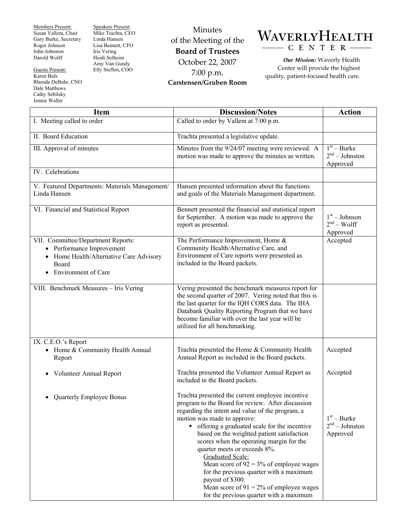Members Present: Susan Vallem, Chair Gary Burke, Secretary Roger Johnson John Johnston Darold Wolff

Guests Present: Karen Buls Rhonda DeBuhr, CNO Dale Matthews Cathy Sebilsky Jennie Waller

Speakers Present: Mike Trachta, CEO Linda Hansen Lisa Bennett, CFO Iris Vering Heidi Solheim Amy Van Gundy Elly Steffen, COO

Minutes of the Meeting of the **Board of Trustees**  October 22, 2007 7:00 p.m. **Carstensen/Gruben Room** 



*Our Mission:* Waverly Health Center will provide the highest quality, patient-focused health care.

| <b>Item</b>                                                                                                                                     | <b>Discussion/Notes</b>                                                                                                                                                                                                                                                                                                                                                                                                                                                                                                                                                                               | <b>Action</b>                                 |
|-------------------------------------------------------------------------------------------------------------------------------------------------|-------------------------------------------------------------------------------------------------------------------------------------------------------------------------------------------------------------------------------------------------------------------------------------------------------------------------------------------------------------------------------------------------------------------------------------------------------------------------------------------------------------------------------------------------------------------------------------------------------|-----------------------------------------------|
| I. Meeting called to order                                                                                                                      | Called to order by Vallem at 7:00 p.m.                                                                                                                                                                                                                                                                                                                                                                                                                                                                                                                                                                |                                               |
| II. Board Education                                                                                                                             | Trachta presented a legislative update.                                                                                                                                                                                                                                                                                                                                                                                                                                                                                                                                                               |                                               |
| III. Approval of minutes                                                                                                                        | Minutes from the 9/24/07 meeting were reviewed. A<br>motion was made to approve the minutes as written.                                                                                                                                                                                                                                                                                                                                                                                                                                                                                               | $1st - Burke$<br>$2nd - Johnston$<br>Approved |
| IV. Celebrations                                                                                                                                |                                                                                                                                                                                                                                                                                                                                                                                                                                                                                                                                                                                                       |                                               |
| V. Featured Departments: Materials Management/<br>Linda Hansen                                                                                  | Hansen presented information about the functions<br>and goals of the Materials Management department.                                                                                                                                                                                                                                                                                                                                                                                                                                                                                                 |                                               |
| VI. Financial and Statistical Report                                                                                                            | Bennett presented the financial and statistical report<br>for September. A motion was made to approve the<br>report as presented.                                                                                                                                                                                                                                                                                                                                                                                                                                                                     | $1st - Johnson$<br>$2nd - Wolf$<br>Approved   |
| VII. Committee/Department Reports:<br>• Performance Improvement<br>Home Health/Alternative Care Advisory<br>Board<br><b>Environment</b> of Care | The Performance Improvement, Home &<br>Community Health/Alternative Care, and<br>Environment of Care reports were presented as<br>included in the Board packets.                                                                                                                                                                                                                                                                                                                                                                                                                                      | Accepted                                      |
| VIII. Benchmark Measures - Iris Vering                                                                                                          | Vering presented the benchmark measures report for<br>the second quarter of 2007. Vering noted that this is<br>the last quarter for the IQH CORS data. The IHA<br>Databank Quality Reporting Program that we have<br>become familiar with over the last year will be<br>utilized for all benchmarking.                                                                                                                                                                                                                                                                                                |                                               |
| IX. C.E.O.'s Report<br>• Home & Community Health Annual<br>Report                                                                               | Trachta presented the Home & Community Health<br>Annual Report as included in the Board packets.                                                                                                                                                                                                                                                                                                                                                                                                                                                                                                      | Accepted                                      |
| • Volunteer Annual Report                                                                                                                       | Trachta presented the Volunteer Annual Report as<br>included in the Board packets.                                                                                                                                                                                                                                                                                                                                                                                                                                                                                                                    | Accepted                                      |
| <b>Quarterly Employee Bonus</b>                                                                                                                 | Trachta presented the current employee incentive<br>program to the Board for review. After discussion<br>regarding the intent and value of the program, a<br>motion was made to approve:<br>• offering a graduated scale for the incentive<br>based on the weighted patient satisfaction<br>scores when the operating margin for the<br>quarter meets or exceeds 8%.<br><b>Graduated Scale:</b><br>Mean score of $92 = 3\%$ of employee wages<br>for the previous quarter with a maximum<br>payout of \$300.<br>Mean score of $91 = 2\%$ of employee wages<br>for the previous quarter with a maximum | $1st - Burke$<br>$2nd - Johnston$<br>Approved |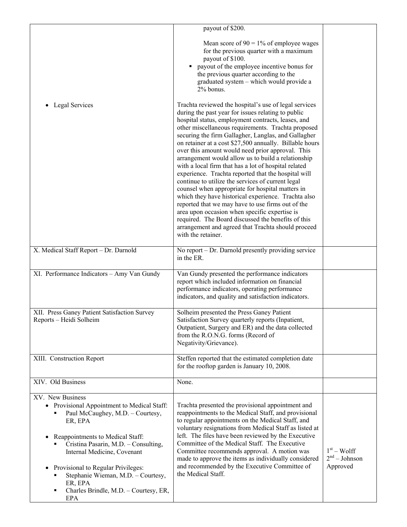|                                                                                                                                                                                                                                                                                           | payout of \$200.                                                                                                                                                                                                                                                                                                                                                                                                                                                                                                                                                                                                                                                                                                                                                                                                                                                                                                                                                           |                                             |
|-------------------------------------------------------------------------------------------------------------------------------------------------------------------------------------------------------------------------------------------------------------------------------------------|----------------------------------------------------------------------------------------------------------------------------------------------------------------------------------------------------------------------------------------------------------------------------------------------------------------------------------------------------------------------------------------------------------------------------------------------------------------------------------------------------------------------------------------------------------------------------------------------------------------------------------------------------------------------------------------------------------------------------------------------------------------------------------------------------------------------------------------------------------------------------------------------------------------------------------------------------------------------------|---------------------------------------------|
|                                                                                                                                                                                                                                                                                           | Mean score of $90 = 1\%$ of employee wages<br>for the previous quarter with a maximum<br>payout of \$100.<br>• payout of the employee incentive bonus for<br>the previous quarter according to the<br>graduated system - which would provide a<br>2% bonus.                                                                                                                                                                                                                                                                                                                                                                                                                                                                                                                                                                                                                                                                                                                |                                             |
| Legal Services<br>$\bullet$                                                                                                                                                                                                                                                               | Trachta reviewed the hospital's use of legal services<br>during the past year for issues relating to public<br>hospital status, employment contracts, leases, and<br>other miscellaneous requirements. Trachta proposed<br>securing the firm Gallagher, Langlas, and Gallagher<br>on retainer at a cost \$27,500 annually. Billable hours<br>over this amount would need prior approval. This<br>arrangement would allow us to build a relationship<br>with a local firm that has a lot of hospital related<br>experience. Trachta reported that the hospital will<br>continue to utilize the services of current legal<br>counsel when appropriate for hospital matters in<br>which they have historical experience. Trachta also<br>reported that we may have to use firms out of the<br>area upon occasion when specific expertise is<br>required. The Board discussed the benefits of this<br>arrangement and agreed that Trachta should proceed<br>with the retainer. |                                             |
| X. Medical Staff Report - Dr. Darnold                                                                                                                                                                                                                                                     | No report – Dr. Darnold presently providing service<br>in the ER.                                                                                                                                                                                                                                                                                                                                                                                                                                                                                                                                                                                                                                                                                                                                                                                                                                                                                                          |                                             |
| XI. Performance Indicators - Amy Van Gundy                                                                                                                                                                                                                                                | Van Gundy presented the performance indicators<br>report which included information on financial<br>performance indicators, operating performance<br>indicators, and quality and satisfaction indicators.                                                                                                                                                                                                                                                                                                                                                                                                                                                                                                                                                                                                                                                                                                                                                                  |                                             |
| XII. Press Ganey Patient Satisfaction Survey<br>Reports - Heidi Solheim                                                                                                                                                                                                                   | Solheim presented the Press Ganey Patient<br>Satisfaction Survey quarterly reports (Inpatient,<br>Outpatient, Surgery and ER) and the data collected<br>from the R.O.N.G. forms (Record of<br>Negativity/Grievance).                                                                                                                                                                                                                                                                                                                                                                                                                                                                                                                                                                                                                                                                                                                                                       |                                             |
| XIII. Construction Report                                                                                                                                                                                                                                                                 | Steffen reported that the estimated completion date<br>for the rooftop garden is January 10, 2008.                                                                                                                                                                                                                                                                                                                                                                                                                                                                                                                                                                                                                                                                                                                                                                                                                                                                         |                                             |
| XIV. Old Business                                                                                                                                                                                                                                                                         | None.                                                                                                                                                                                                                                                                                                                                                                                                                                                                                                                                                                                                                                                                                                                                                                                                                                                                                                                                                                      |                                             |
| XV. New Business<br>• Provisional Appointment to Medical Staff:<br>Paul McCaughey, M.D. - Courtesy,<br>ER, EPA<br>Reappointments to Medical Staff:<br>$\bullet$<br>Cristina Pasarin, M.D. - Consulting,<br>Internal Medicine, Covenant<br>Provisional to Regular Privileges:<br>$\bullet$ | Trachta presented the provisional appointment and<br>reappointments to the Medical Staff, and provisional<br>to regular appointments on the Medical Staff, and<br>voluntary resignations from Medical Staff as listed at<br>left. The files have been reviewed by the Executive<br>Committee of the Medical Staff. The Executive<br>Committee recommends approval. A motion was<br>made to approve the items as individually considered<br>and recommended by the Executive Committee of                                                                                                                                                                                                                                                                                                                                                                                                                                                                                   | $1st - Wolf$<br>$2nd - Johnson$<br>Approved |
| Stephanie Wieman, M.D. - Courtesy,<br>ER, EPA<br>Charles Brindle, M.D. - Courtesy, ER,<br>٠<br>EPA                                                                                                                                                                                        | the Medical Staff.                                                                                                                                                                                                                                                                                                                                                                                                                                                                                                                                                                                                                                                                                                                                                                                                                                                                                                                                                         |                                             |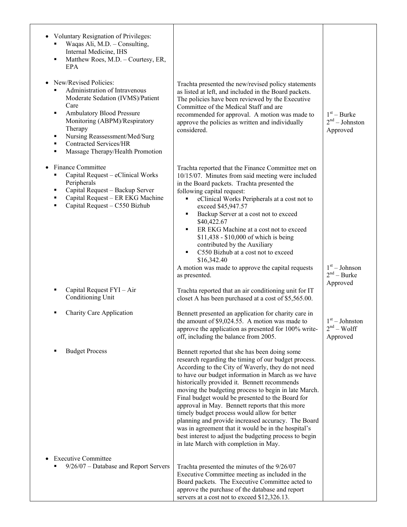| <b>Voluntary Resignation of Privileges:</b><br>Waqas Ali, M.D. - Consulting,<br>Internal Medicine, IHS<br>Matthew Roes, M.D. - Courtesy, ER,<br>٠<br>EPA                                                                                                                                              |                                                                                                                                                                                                                                                                                                                                                                                                                                                                                                                                                                                                                                                                                                  |                                               |
|-------------------------------------------------------------------------------------------------------------------------------------------------------------------------------------------------------------------------------------------------------------------------------------------------------|--------------------------------------------------------------------------------------------------------------------------------------------------------------------------------------------------------------------------------------------------------------------------------------------------------------------------------------------------------------------------------------------------------------------------------------------------------------------------------------------------------------------------------------------------------------------------------------------------------------------------------------------------------------------------------------------------|-----------------------------------------------|
| New/Revised Policies:<br>Administration of Intravenous<br>Moderate Sedation (IVMS)/Patient<br>Care<br>Ambulatory Blood Pressure<br>٠<br>Monitoring (ABPM)/Respiratory<br>Therapy<br>Nursing Reassessment/Med/Surg<br>٠<br><b>Contracted Services/HR</b><br>٠<br>Massage Therapy/Health Promotion<br>٠ | Trachta presented the new/revised policy statements<br>as listed at left, and included in the Board packets.<br>The policies have been reviewed by the Executive<br>Committee of the Medical Staff and are<br>recommended for approval. A motion was made to<br>approve the policies as written and individually<br>considered.                                                                                                                                                                                                                                                                                                                                                                  | $1st - Burke$<br>$2nd - Johnston$<br>Approved |
| Finance Committee<br>Capital Request - eClinical Works<br>Peripherals<br>Capital Request - Backup Server<br>п<br>Capital Request - ER EKG Machine<br>٠<br>Capital Request - C550 Bizhub<br>٠                                                                                                          | Trachta reported that the Finance Committee met on<br>10/15/07. Minutes from said meeting were included<br>in the Board packets. Trachta presented the<br>following capital request:<br>eClinical Works Peripherals at a cost not to<br>exceed \$45,947.57<br>Backup Server at a cost not to exceed<br>\$40,422.67<br>ER EKG Machine at a cost not to exceed<br>٠<br>\$11,438 - \$10,000 of which is being<br>contributed by the Auxiliary<br>C550 Bizhub at a cost not to exceed<br>٠<br>\$16,342.40<br>A motion was made to approve the capital requests<br>as presented.                                                                                                                      | $1st - Johnson$<br>$2nd - Burke$              |
| Capital Request FYI - Air<br>Conditioning Unit                                                                                                                                                                                                                                                        | Trachta reported that an air conditioning unit for IT<br>closet A has been purchased at a cost of \$5,565.00.                                                                                                                                                                                                                                                                                                                                                                                                                                                                                                                                                                                    | Approved                                      |
| <b>Charity Care Application</b>                                                                                                                                                                                                                                                                       | Bennett presented an application for charity care in<br>the amount of \$9,024.55. A motion was made to<br>approve the application as presented for 100% write-<br>off, including the balance from 2005.                                                                                                                                                                                                                                                                                                                                                                                                                                                                                          | $1st - Johnston$<br>$2nd - Wolf$<br>Approved  |
| <b>Budget Process</b>                                                                                                                                                                                                                                                                                 | Bennett reported that she has been doing some<br>research regarding the timing of our budget process.<br>According to the City of Waverly, they do not need<br>to have our budget information in March as we have<br>historically provided it. Bennett recommends<br>moving the budgeting process to begin in late March.<br>Final budget would be presented to the Board for<br>approval in May. Bennett reports that this more<br>timely budget process would allow for better<br>planning and provide increased accuracy. The Board<br>was in agreement that it would be in the hospital's<br>best interest to adjust the budgeting process to begin<br>in late March with completion in May. |                                               |
| <b>Executive Committee</b><br>9/26/07 - Database and Report Servers                                                                                                                                                                                                                                   | Trachta presented the minutes of the 9/26/07<br>Executive Committee meeting as included in the<br>Board packets. The Executive Committee acted to<br>approve the purchase of the database and report<br>servers at a cost not to exceed \$12,326.13.                                                                                                                                                                                                                                                                                                                                                                                                                                             |                                               |